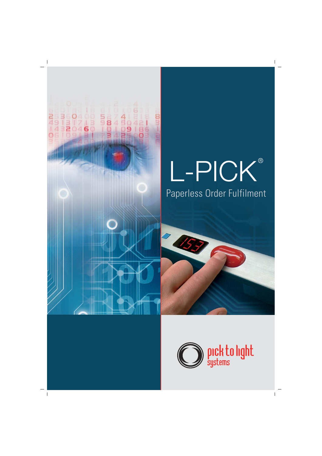

### L-PICK ® Paperless Order Fulfilment

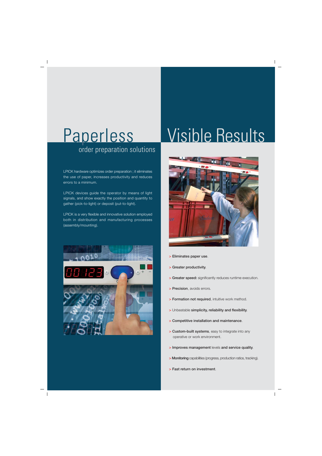# order preparation solutions

LPICK hardware optimizes order preparation ; it eliminates the use of paper, increases productivity and reduces errors to a minimum.

LPICK devices guide the operator by means of light signals, and show exactly the position and quantity to gather (pick-to-light) or deposit (put-to-light).

LPICK is a very flexible and innovative solution employed both in distribution and manufacturing processes (assembly/mounting).



### Paperless Visible Results



- **> Eliminates paper use**.
- **> Greater productivity**.
- **> Greater speed:** significantly reduces runtime execution.
- **> Precision**, avoids errors.
- **> Formation not required**, intuitive work method.
- **>** Unbeatable **simplicity, reliability and flexibility**.
- **> Competitive installation and maintenance**.
- **> Custom-built systems**, easy to integrate into any operative or work environment.
- **> Improves management** levels **and service quality**.
- **> Monitoring** capabilities (progress, production ratios, tracking).
- **> Fast return on investment**.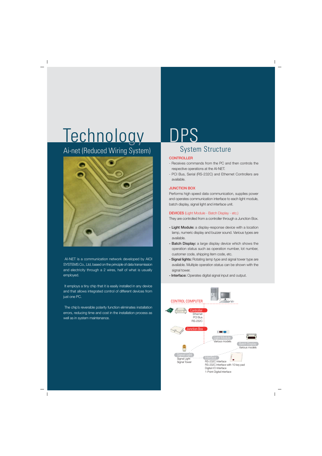## Technology DPS

Ai-net (Reduced Wiring System)



 AI-NET is a communication network developed by AIOI SYSTEMS Co., Ltd, based on the principle of data transmission and electricity through a 2 wires, half of what is usually employed.

It employs a tiny chip that it is easily installed in any device and that allows integrated control of different devices from just one PC.

 The chip's reversible polarity function eliminates installation errors, reducing time and cost in the installation process as well as in system maintenance.

### System Structure

### **CONTROLLER**

- Receives commands from the PC and then controls the respective operations at the AI-NET.
- PCI Bus, Serial (RS-232C) and Ethernet Controllers are available.

### **JUNCTION BOX**

Performs high speed data communication, supplies power and operates communication interface to each light module, batch display, signal light and interface unit.

### **DEVICES** (Light Module - Batch Display - etc.)

They are controlled from a controller through a Junction Box.

- **Light Module:** a display-response device with a location lamp, numeric display and buzzer sound. Various types are available.
- **Batch Display:** a large display device which shows the operation status such as operation number, lot number, customer code, shipping item code, etc.
- **Signal lights:** Rotating lamp type and signal tower type are available. Multiple operation status can be shown with the signal tower.
- **Interface:** Operates digital signal input and output.

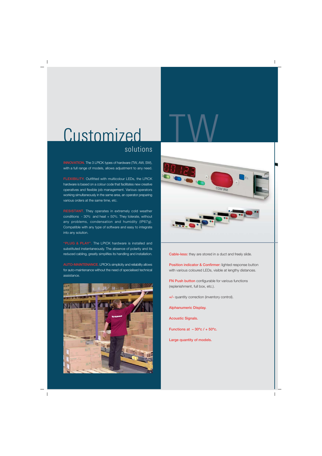### Customized solutions

**INNOVATION.** The 3 LPICK types of hardware (TW, AW, SW), with a full range of models, allows adjustment to any need.

**FLEXIBILITY.** Outfitted with multicolour LEDs, the LPICK hardware is based on a colour code that facilitates new creative operatives and flexible job management. Various operators working simultaneously in the same area, an operator preparing various orders at the same time, etc.

**RESISTANT.** They operates in extremely cold weather conditions - 30ºc and heat + 50ºc. They tolerate, without any problems, condensation and humidity (IP67g). Compatible with any type of software and easy to integrate into any solution.

**"PLUG & PLAY".** The LPICK hardware is installed and substituted instantaneously. The absence of polarity and its reduced cabling, greatly simplifies its handling and installation.

**AUTO-MAINTENANCE.** LPICK's simplicity and reliability allows for auto-maintenance without the need of specialised technical assistance.





**Cable-less:** they are stored in a duct and freely slide.

**Position indicator & Confirmer:** lighted response button with various coloured LEDs, visible at lengthy distances.

**FN Push button** configurable for various functions (replenishment, full box, etc.).

**+/-** quantity correction (inventory control).

**Alphanumeric Display.**

**Acoustic Signals.**

**Functions at – 30ºc / + 50ºc.**

**Large quantity of models.**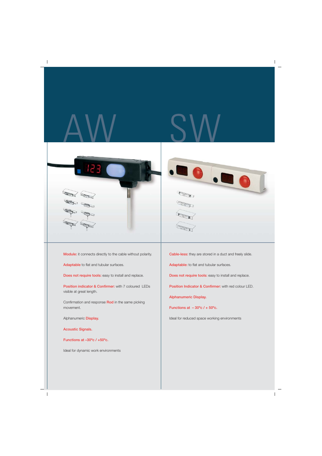







**Module:** it connects directly to the cable without polarity.

**Adaptable** to flat and tubular surfaces.

**Does not require tools:** easy to install and replace.

**Position indicator & Confirmer:** with 7 coloured LEDs visible at great length.

Confirmation and response **Rod** in the same picking movement.

Alphanumeric **Display.**

**Acoustic Signals.**

**Functions at –30ºc / +50ºc.**

Ideal for dynamic work environments

**Cable-less:** they are stored in a duct and freely slide.

**Adaptable:** to flat and tubular surfaces.

**Does not require tools:** easy to install and replace.

**Position Indicator & Confirmer:** with red colour LED.

**Alphanumeric Display.**

**Functions at – 30ºc / + 50ºc.**

Ideal for reduced space working environments